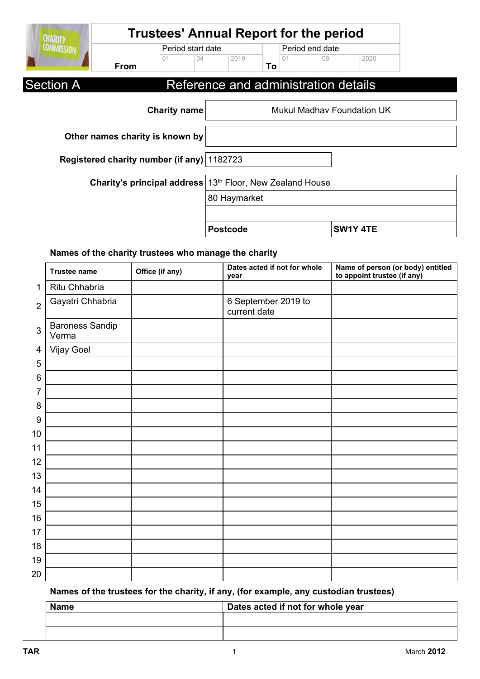| <b>CHARITY</b>    |                                              | <b>Trustees' Annual Report for the period</b> |    |                               |    |                 |                                      |                                   |
|-------------------|----------------------------------------------|-----------------------------------------------|----|-------------------------------|----|-----------------|--------------------------------------|-----------------------------------|
| <b>COMMISSION</b> | Period start date                            |                                               |    |                               |    | Period end date |                                      |                                   |
|                   | <b>From</b>                                  | 01                                            | 04 | 2019                          | To | 01              | 08                                   | 2020                              |
| <b>Section A</b>  |                                              |                                               |    |                               |    |                 | Reference and administration details |                                   |
|                   |                                              | <b>Charity name</b>                           |    |                               |    |                 |                                      | <b>Mukul Madhay Foundation UK</b> |
|                   | Other names charity is known by              |                                               |    |                               |    |                 |                                      |                                   |
|                   | Registered charity number (if any)   1182723 |                                               |    |                               |    |                 |                                      |                                   |
|                   | Charity's principal address                  |                                               |    | 13th Floor, New Zealand House |    |                 |                                      |                                   |
|                   |                                              |                                               |    | 80 Haymarket                  |    |                 |                                      |                                   |
|                   |                                              |                                               |    | <b>Postcode</b>               |    |                 |                                      | SW1Y 4TE                          |

## **Names of the charity trustees who manage the charity**

|                  | <b>Trustee name</b>             | Office (if any) | Dates acted if not for whole<br>year | Name of person (or body) entitled<br>to appoint trustee (if any) |
|------------------|---------------------------------|-----------------|--------------------------------------|------------------------------------------------------------------|
| 1                | Ritu Chhabria                   |                 |                                      |                                                                  |
| $\overline{2}$   | Gayatri Chhabria                |                 | 6 September 2019 to<br>current date  |                                                                  |
| $\mathfrak{S}$   | <b>Baroness Sandip</b><br>Verma |                 |                                      |                                                                  |
| $\overline{4}$   | Vijay Goel                      |                 |                                      |                                                                  |
| 5                |                                 |                 |                                      |                                                                  |
| 6                |                                 |                 |                                      |                                                                  |
| 7                |                                 |                 |                                      |                                                                  |
| 8                |                                 |                 |                                      |                                                                  |
| $\boldsymbol{9}$ |                                 |                 |                                      |                                                                  |
| 10               |                                 |                 |                                      |                                                                  |
| 11               |                                 |                 |                                      |                                                                  |
| 12               |                                 |                 |                                      |                                                                  |
| 13               |                                 |                 |                                      |                                                                  |
| 14               |                                 |                 |                                      |                                                                  |
| 15               |                                 |                 |                                      |                                                                  |
| 16               |                                 |                 |                                      |                                                                  |
| 17               |                                 |                 |                                      |                                                                  |
| 18               |                                 |                 |                                      |                                                                  |
| 19               |                                 |                 |                                      |                                                                  |
| 20               |                                 |                 |                                      |                                                                  |

**Names of the trustees for the charity, if any, (for example, any custodian trustees)**

| \ame | Dates acted if not for whole year |
|------|-----------------------------------|
|      |                                   |
|      |                                   |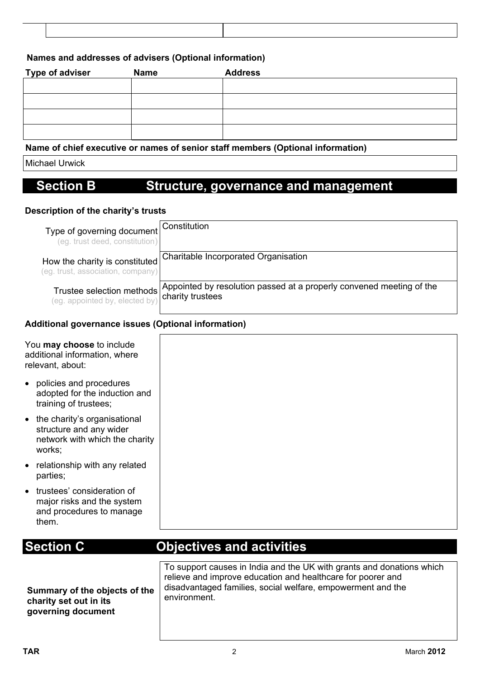### **Names and addresses of advisers (Optional information)**

| <b>Type of adviser</b> | <b>Name</b> | <b>Address</b>                                      |
|------------------------|-------------|-----------------------------------------------------|
|                        |             |                                                     |
|                        |             |                                                     |
|                        |             |                                                     |
|                        |             |                                                     |
| .                      |             | $\bullet$ , and it is a set of the set of $\bullet$ |

#### **Name of chief executive or names of senior staff members (Optional information)**

Michael Urwick

## **Section B Structure, governance and management**

#### **Description of the charity's trusts**

| Type of governing document Constitution<br>(eg. trust deed, constitution) |                                                                                          |
|---------------------------------------------------------------------------|------------------------------------------------------------------------------------------|
| How the charity is constituted<br>(eg. trust, association, company)       | Charitable Incorporated Organisation                                                     |
| Trustee selection methods  <br>(eg. appointed by, elected by)             | Appointed by resolution passed at a properly convened meeting of the<br>charity trustees |

### **Additional governance issues (Optional information)**

| You may choose to include<br>additional information, where<br>relevant, about:                        |
|-------------------------------------------------------------------------------------------------------|
| • policies and procedures<br>adopted for the induction and<br>training of trustees;                   |
| • the charity's organisational<br>structure and any wider<br>network with which the charity<br>works; |
| • relationship with any related<br>parties;                                                           |
| • trustees' consideration of<br>major risks and the system<br>and procedures to manage<br>them.       |

## **Section C Objectives and activities**

**Summary of the objects of the charity set out in its governing document**

To support causes in India and the UK with grants and donations which relieve and improve education and healthcare for poorer and disadvantaged families, social welfare, empowerment and the environment.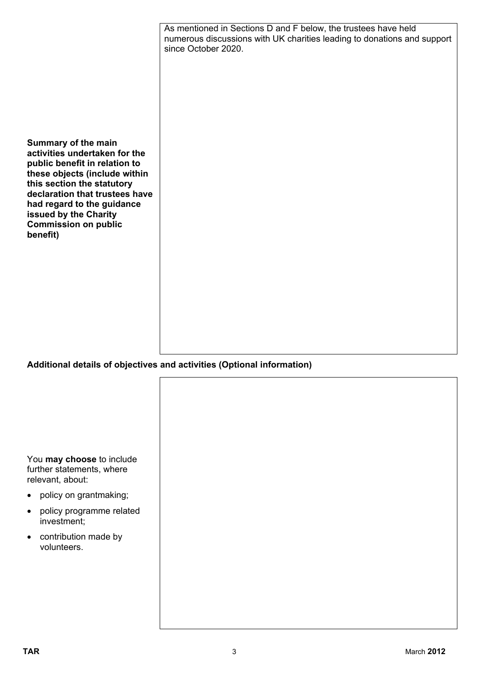|                                                                                                                                                                                                                                                                                          | As mentioned in Sections D and F below, the trustees have held<br>numerous discussions with UK charities leading to donations and support<br>since October 2020. |
|------------------------------------------------------------------------------------------------------------------------------------------------------------------------------------------------------------------------------------------------------------------------------------------|------------------------------------------------------------------------------------------------------------------------------------------------------------------|
|                                                                                                                                                                                                                                                                                          |                                                                                                                                                                  |
| Summary of the main<br>activities undertaken for the<br>public benefit in relation to<br>these objects (include within<br>this section the statutory<br>declaration that trustees have<br>had regard to the guidance<br>issued by the Charity<br><b>Commission on public</b><br>benefit) |                                                                                                                                                                  |
|                                                                                                                                                                                                                                                                                          |                                                                                                                                                                  |
|                                                                                                                                                                                                                                                                                          |                                                                                                                                                                  |
|                                                                                                                                                                                                                                                                                          | Additional details of objectives and activities (Optional information)                                                                                           |
|                                                                                                                                                                                                                                                                                          |                                                                                                                                                                  |
| You may choose to include<br>further statements, where<br>relevant, about:                                                                                                                                                                                                               |                                                                                                                                                                  |
| policy on grantmaking;                                                                                                                                                                                                                                                                   |                                                                                                                                                                  |

- policy programme related investment;
- contribution made by volunteers.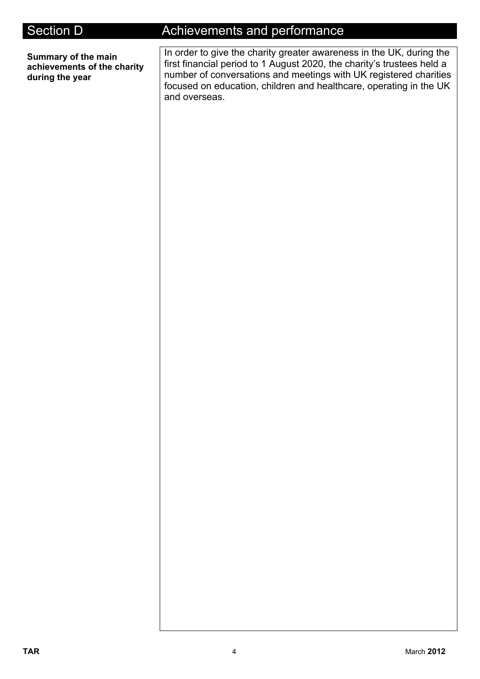**Summary of the main achievements of the charity during the year**

# Section D **Achievements and performance**

In order to give the charity greater awareness in the UK, during the first financial period to 1 August 2020, the charity's trustees held a number of conversations and meetings with UK registered charities focused on education, children and healthcare, operating in the UK and overseas.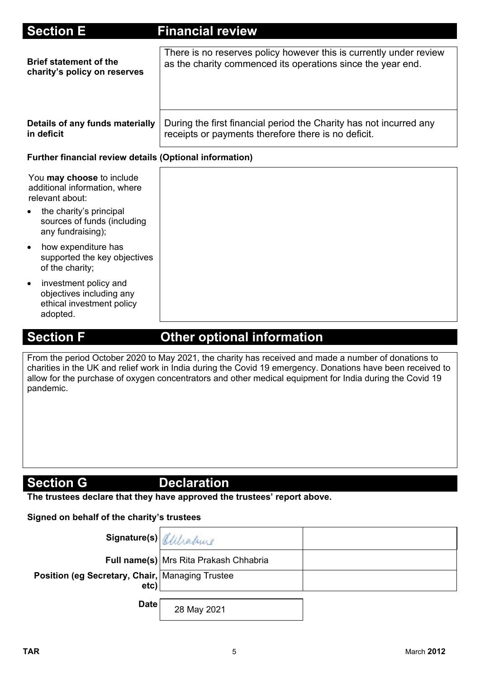| <b>Section E</b>                                                                                        | <b>Financial review</b>                                                                                                           |
|---------------------------------------------------------------------------------------------------------|-----------------------------------------------------------------------------------------------------------------------------------|
| <b>Brief statement of the</b><br>charity's policy on reserves                                           | There is no reserves policy however this is currently under review<br>as the charity commenced its operations since the year end. |
| Details of any funds materially<br>in deficit                                                           | During the first financial period the Charity has not incurred any<br>receipts or payments therefore there is no deficit.         |
| <b>Further financial review details (Optional information)</b>                                          |                                                                                                                                   |
| You may choose to include<br>additional information, where<br>relevant about:                           |                                                                                                                                   |
| the charity's principal<br>sources of funds (including<br>any fundraising);                             |                                                                                                                                   |
| how expenditure has<br>$\bullet$<br>supported the key objectives<br>of the charity;                     |                                                                                                                                   |
| investment policy and<br>$\bullet$<br>objectives including any<br>ethical investment policy<br>adopted. |                                                                                                                                   |

# **Section F Other optional information**

From the period October 2020 to May 2021, the charity has received and made a number of donations to charities in the UK and relief work in India during the Covid 19 emergency. Donations have been received to allow for the purchase of oxygen concentrators and other medical equipment for India during the Covid 19 pandemic.

## **Section G** Declaration

**The trustees declare that they have approved the trustees' report above.** 

### **Signed on behalf of the charity's trustees**

| Signature(s) Allhaburg                                    |                                          |  |
|-----------------------------------------------------------|------------------------------------------|--|
|                                                           | Full name(s)   Mrs Rita Prakash Chhabria |  |
| Position (eg Secretary, Chair,   Managing Trustee<br>etc) |                                          |  |
| <b>Date</b>                                               | 28 May 2021                              |  |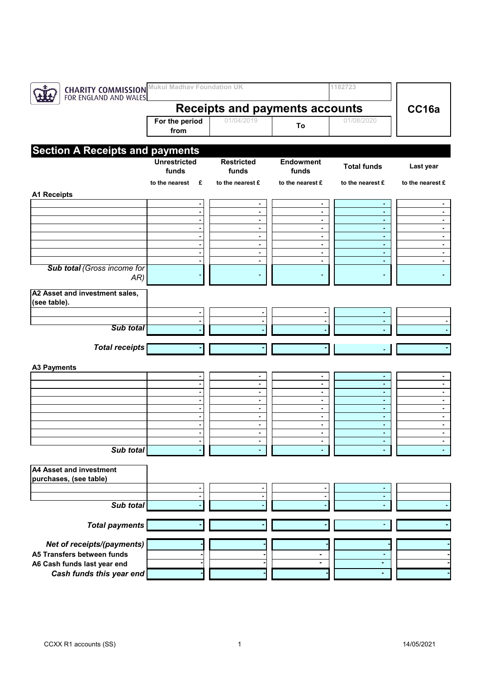| <b>CHARITY COMMISSION</b><br>FOR ENGLAND AND WALES | <b>Mukul Madhav Foundation UK</b>     |                |                                  |                                            | 1182723             |                                  |
|----------------------------------------------------|---------------------------------------|----------------|----------------------------------|--------------------------------------------|---------------------|----------------------------------|
|                                                    | <b>Receipts and payments accounts</b> |                |                                  |                                            |                     | CC16a                            |
|                                                    | For the period<br>from                |                | 01/04/2019                       | To                                         | 01/08/2020          |                                  |
|                                                    |                                       |                |                                  |                                            |                     |                                  |
| <b>Section A Receipts and payments</b>             | <b>Unrestricted</b>                   |                | <b>Restricted</b>                | <b>Endowment</b>                           |                     |                                  |
|                                                    | funds                                 |                | funds                            | funds                                      | <b>Total funds</b>  | Last year                        |
|                                                    | to the nearest                        | £              | to the nearest £                 | to the nearest £                           | to the nearest £    | to the nearest £                 |
| <b>A1 Receipts</b>                                 |                                       |                |                                  |                                            |                     |                                  |
|                                                    |                                       | $\blacksquare$ | $\blacksquare$<br>$\blacksquare$ | $\blacksquare$<br>$\overline{\phantom{a}}$ | ٠                   |                                  |
|                                                    |                                       | $\blacksquare$ | $\blacksquare$                   | $\blacksquare$                             | $\blacksquare$      | $\blacksquare$                   |
|                                                    |                                       |                | $\blacksquare$                   | $\blacksquare$                             | $\blacksquare$      | $\blacksquare$                   |
|                                                    |                                       |                | $\blacksquare$                   | $\blacksquare$                             | ٠                   | $\blacksquare$                   |
|                                                    |                                       |                | $\blacksquare$<br>$\blacksquare$ | $\blacksquare$<br>$\blacksquare$           | $\blacksquare$<br>٠ | $\blacksquare$<br>$\blacksquare$ |
|                                                    |                                       |                | $\blacksquare$                   | $\blacksquare$                             | $\blacksquare$      | $\blacksquare$                   |
| Sub total (Gross income for                        |                                       |                |                                  |                                            |                     |                                  |
| AR)                                                |                                       |                |                                  |                                            |                     |                                  |
| A2 Asset and investment sales,<br>(see table).     |                                       |                |                                  |                                            |                     |                                  |
|                                                    |                                       |                |                                  |                                            |                     |                                  |
|                                                    |                                       |                |                                  |                                            |                     |                                  |
| <b>Sub total</b>                                   |                                       |                |                                  |                                            |                     |                                  |
| <b>Total receipts</b>                              |                                       |                |                                  |                                            |                     |                                  |
|                                                    |                                       |                |                                  |                                            |                     |                                  |
| <b>A3 Payments</b>                                 |                                       |                |                                  |                                            |                     |                                  |
|                                                    |                                       | $\blacksquare$ | $\blacksquare$<br>$\blacksquare$ | $\blacksquare$<br>$\blacksquare$           | $\blacksquare$      | $\blacksquare$                   |
|                                                    |                                       |                | $\blacksquare$                   | $\blacksquare$                             | ٠                   | $\blacksquare$                   |
|                                                    |                                       |                | $\blacksquare$                   | $\blacksquare$                             | ٠                   | $\blacksquare$                   |
|                                                    |                                       |                | $\blacksquare$                   | $\blacksquare$                             | $\sim$              | $\blacksquare$                   |
|                                                    |                                       |                | $\blacksquare$                   | $\blacksquare$                             | $\blacksquare$      | $\blacksquare$                   |
|                                                    |                                       |                | $\blacksquare$<br>$\blacksquare$ | $\blacksquare$<br>$\blacksquare$           | ٠<br>٠              | $\blacksquare$<br>$\blacksquare$ |
|                                                    |                                       |                |                                  |                                            |                     |                                  |
| Sub total                                          |                                       |                |                                  |                                            |                     |                                  |
| <b>A4 Asset and investment</b>                     |                                       |                |                                  |                                            |                     |                                  |
| purchases, (see table)                             |                                       |                |                                  |                                            |                     |                                  |
|                                                    |                                       |                |                                  |                                            |                     |                                  |
|                                                    |                                       |                |                                  |                                            | ٠                   |                                  |
| Sub total                                          |                                       |                |                                  |                                            |                     |                                  |
| <b>Total payments</b>                              |                                       |                |                                  |                                            |                     |                                  |
| Net of receipts/(payments)                         |                                       |                |                                  |                                            |                     |                                  |
| A5 Transfers between funds                         |                                       |                |                                  |                                            |                     |                                  |
| A6 Cash funds last year end                        |                                       |                |                                  |                                            | ٠                   |                                  |
| Cash funds this year end                           |                                       |                |                                  |                                            |                     |                                  |